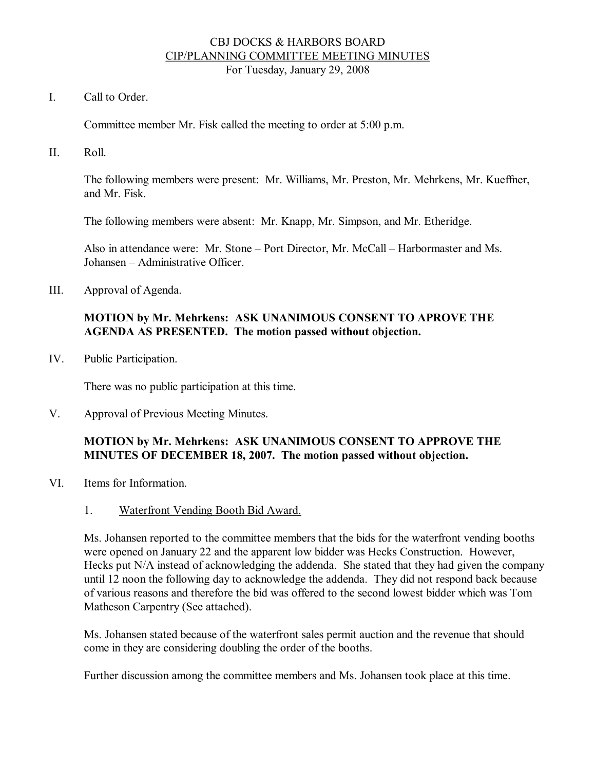#### CBJ DOCKS & HARBORS BOARD CIP/PLANNING COMMITTEE MEETING MINUTES For Tuesday, January 29, 2008

I. Call to Order.

Committee member Mr. Fisk called the meeting to order at 5:00 p.m.

II. Roll.

The following members were present: Mr. Williams, Mr. Preston, Mr. Mehrkens, Mr. Kueffner, and Mr. Fisk.

The following members were absent: Mr. Knapp, Mr. Simpson, and Mr. Etheridge.

Also in attendance were: Mr. Stone – Port Director, Mr. McCall – Harbormaster and Ms. Johansen – Administrative Officer.

III. Approval of Agenda.

### **MOTION by Mr. Mehrkens: ASK UNANIMOUS CONSENT TO APROVE THE AGENDA AS PRESENTED. The motion passed without objection.**

IV. Public Participation.

There was no public participation at this time.

V. Approval of Previous Meeting Minutes.

### **MOTION by Mr. Mehrkens: ASK UNANIMOUS CONSENT TO APPROVE THE MINUTES OF DECEMBER 18, 2007. The motion passed without objection.**

- VI. Items for Information.
	- 1. Waterfront Vending Booth Bid Award.

Ms. Johansen reported to the committee members that the bids for the waterfront vending booths were opened on January 22 and the apparent low bidder was Hecks Construction. However, Hecks put N/A instead of acknowledging the addenda. She stated that they had given the company until 12 noon the following day to acknowledge the addenda. They did not respond back because of various reasons and therefore the bid was offered to the second lowest bidder which was Tom Matheson Carpentry (See attached).

Ms. Johansen stated because of the waterfront sales permit auction and the revenue that should come in they are considering doubling the order of the booths.

Further discussion among the committee members and Ms. Johansen took place at this time.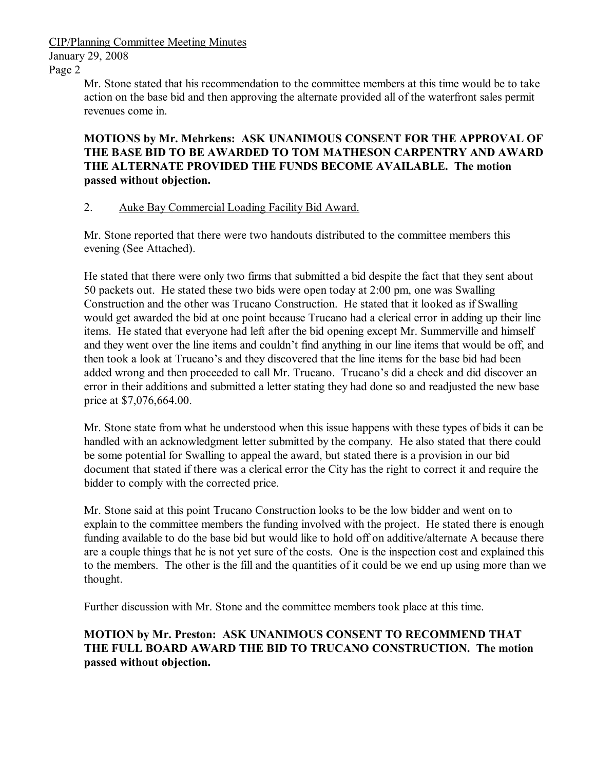CIP/Planning Committee Meeting Minutes

January 29, 2008

Page 2

Mr. Stone stated that his recommendation to the committee members at this time would be to take action on the base bid and then approving the alternate provided all of the waterfront sales permit revenues come in.

**MOTIONS by Mr. Mehrkens: ASK UNANIMOUS CONSENT FOR THE APPROVAL OF THE BASE BID TO BE AWARDED TO TOM MATHESON CARPENTRY AND AWARD THE ALTERNATE PROVIDED THE FUNDS BECOME AVAILABLE. The motion passed without objection.**

# 2. Auke Bay Commercial Loading Facility Bid Award.

Mr. Stone reported that there were two handouts distributed to the committee members this evening (See Attached).

He stated that there were only two firms that submitted a bid despite the fact that they sent about 50 packets out. He stated these two bids were open today at 2:00 pm, one was Swalling Construction and the other was Trucano Construction. He stated that it looked as if Swalling would get awarded the bid at one point because Trucano had a clerical error in adding up their line items. He stated that everyone had left after the bid opening except Mr. Summerville and himself and they went over the line items and couldn't find anything in our line items that would be off, and then took a look at Trucano's and they discovered that the line items for the base bid had been added wrong and then proceeded to call Mr. Trucano. Trucano's did a check and did discover an error in their additions and submitted a letter stating they had done so and readjusted the new base price at \$7,076,664.00.

Mr. Stone state from what he understood when this issue happens with these types of bids it can be handled with an acknowledgment letter submitted by the company. He also stated that there could be some potential for Swalling to appeal the award, but stated there is a provision in our bid document that stated if there was a clerical error the City has the right to correct it and require the bidder to comply with the corrected price.

Mr. Stone said at this point Trucano Construction looks to be the low bidder and went on to explain to the committee members the funding involved with the project. He stated there is enough funding available to do the base bid but would like to hold off on additive/alternate A because there are a couple things that he is not yet sure of the costs. One is the inspection cost and explained this to the members. The other is the fill and the quantities of it could be we end up using more than we thought.

Further discussion with Mr. Stone and the committee members took place at this time.

# **MOTION by Mr. Preston: ASK UNANIMOUS CONSENT TO RECOMMEND THAT THE FULL BOARD AWARD THE BID TO TRUCANO CONSTRUCTION. The motion passed without objection.**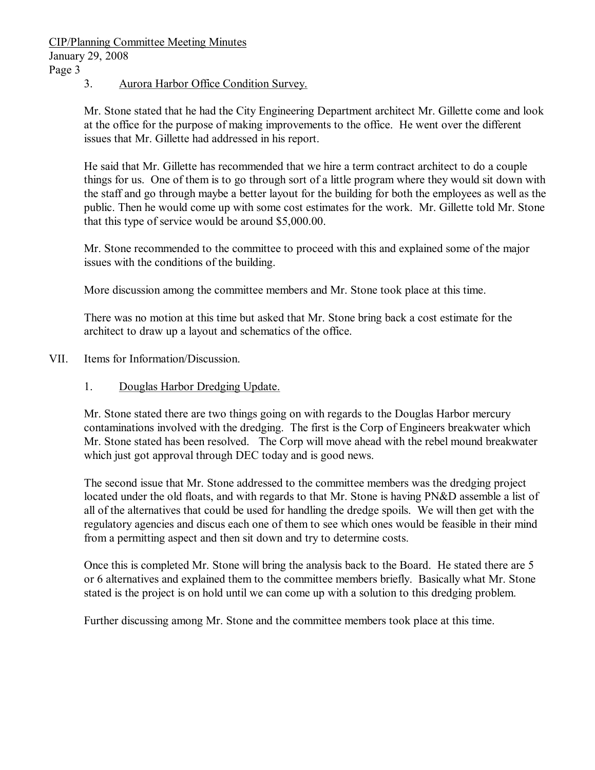CIP/Planning Committee Meeting Minutes January 29, 2008 Page 3

3. Aurora Harbor Office Condition Survey.

Mr. Stone stated that he had the City Engineering Department architect Mr. Gillette come and look at the office for the purpose of making improvements to the office. He went over the different issues that Mr. Gillette had addressed in his report.

He said that Mr. Gillette has recommended that we hire a term contract architect to do a couple things for us. One of them is to go through sort of a little program where they would sit down with the staff and go through maybe a better layout for the building for both the employees as well as the public. Then he would come up with some cost estimates for the work. Mr. Gillette told Mr. Stone that this type of service would be around \$5,000.00.

Mr. Stone recommended to the committee to proceed with this and explained some of the major issues with the conditions of the building.

More discussion among the committee members and Mr. Stone took place at this time.

There was no motion at this time but asked that Mr. Stone bring back a cost estimate for the architect to draw up a layout and schematics of the office.

- VII. Items for Information/Discussion.
	- 1. Douglas Harbor Dredging Update.

Mr. Stone stated there are two things going on with regards to the Douglas Harbor mercury contaminations involved with the dredging. The first is the Corp of Engineers breakwater which Mr. Stone stated has been resolved. The Corp will move ahead with the rebel mound breakwater which just got approval through DEC today and is good news.

The second issue that Mr. Stone addressed to the committee members was the dredging project located under the old floats, and with regards to that Mr. Stone is having PN&D assemble a list of all of the alternatives that could be used for handling the dredge spoils. We will then get with the regulatory agencies and discus each one of them to see which ones would be feasible in their mind from a permitting aspect and then sit down and try to determine costs.

Once this is completed Mr. Stone will bring the analysis back to the Board. He stated there are 5 or 6 alternatives and explained them to the committee members briefly. Basically what Mr. Stone stated is the project is on hold until we can come up with a solution to this dredging problem.

Further discussing among Mr. Stone and the committee members took place at this time.